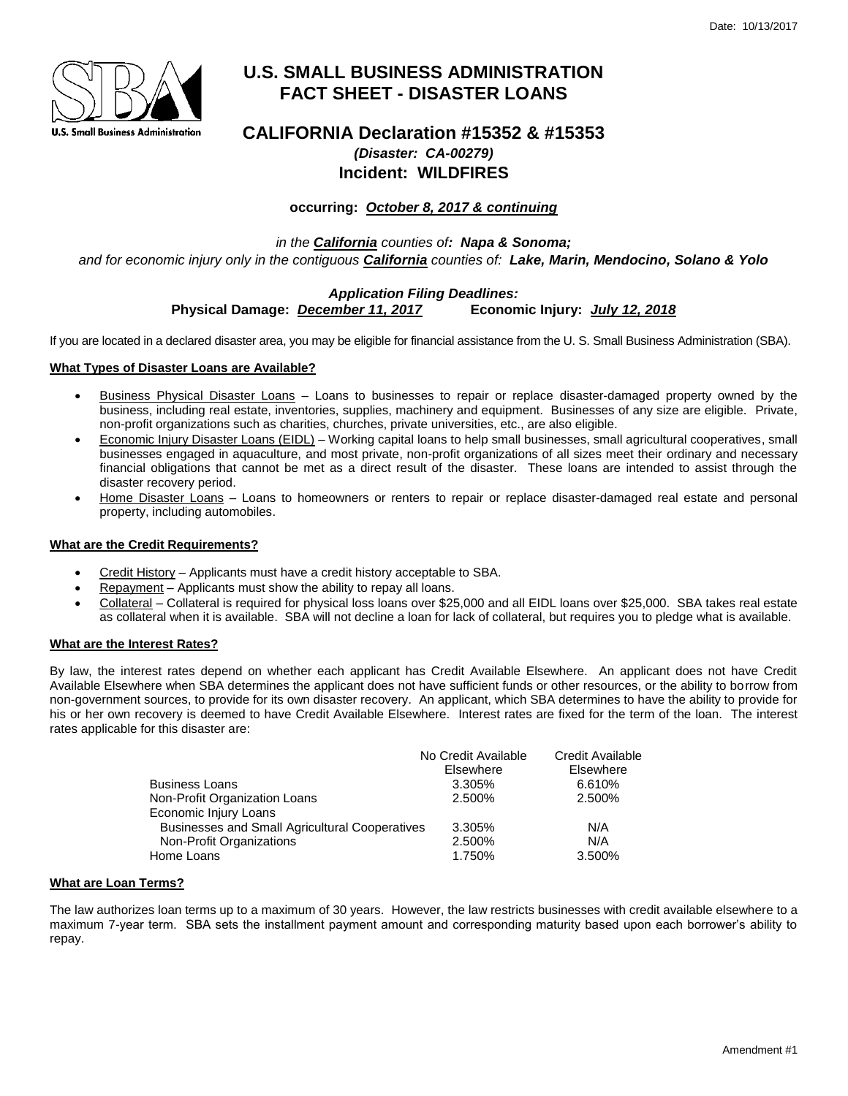

# **U.S. SMALL BUSINESS ADMINISTRATION FACT SHEET - DISASTER LOANS**

## **CALIFORNIA Declaration #15352 & #15353** *(Disaster: CA-00279)* **Incident: WILDFIRES**

## **occurring:** *October 8, 2017 & continuing*

*in the California counties of: Napa & Sonoma; and for economic injury only in the contiguous California counties of: Lake, Marin, Mendocino, Solano & Yolo*

### *Application Filing Deadlines:* **Physical Damage:** *December 11, 2017* **Economic Injury:** *July 12, 2018*

If you are located in a declared disaster area, you may be eligible for financial assistance from the U. S. Small Business Administration (SBA).

#### **What Types of Disaster Loans are Available?**

- Business Physical Disaster Loans Loans to businesses to repair or replace disaster-damaged property owned by the business, including real estate, inventories, supplies, machinery and equipment. Businesses of any size are eligible. Private, non-profit organizations such as charities, churches, private universities, etc., are also eligible.
- Economic Injury Disaster Loans (EIDL) Working capital loans to help small businesses, small agricultural cooperatives, small businesses engaged in aquaculture, and most private, non-profit organizations of all sizes meet their ordinary and necessary financial obligations that cannot be met as a direct result of the disaster. These loans are intended to assist through the disaster recovery period.
- Home Disaster Loans Loans to homeowners or renters to repair or replace disaster-damaged real estate and personal property, including automobiles.

#### **What are the Credit Requirements?**

- Credit History Applicants must have a credit history acceptable to SBA.
- Repayment Applicants must show the ability to repay all loans.
- Collateral Collateral is required for physical loss loans over \$25,000 and all EIDL loans over \$25,000. SBA takes real estate as collateral when it is available. SBA will not decline a loan for lack of collateral, but requires you to pledge what is available.

#### **What are the Interest Rates?**

By law, the interest rates depend on whether each applicant has Credit Available Elsewhere. An applicant does not have Credit Available Elsewhere when SBA determines the applicant does not have sufficient funds or other resources, or the ability to borrow from non-government sources, to provide for its own disaster recovery. An applicant, which SBA determines to have the ability to provide for his or her own recovery is deemed to have Credit Available Elsewhere. Interest rates are fixed for the term of the loan. The interest rates applicable for this disaster are:

|                                                | No Credit Available | Credit Available |
|------------------------------------------------|---------------------|------------------|
|                                                | Elsewhere           | Elsewhere        |
| Business Loans                                 | 3.305%              | 6.610%           |
| Non-Profit Organization Loans                  | 2.500%              | 2.500%           |
| Economic Injury Loans                          |                     |                  |
| Businesses and Small Agricultural Cooperatives | 3.305%              | N/A              |
| Non-Profit Organizations                       | 2.500%              | N/A              |
| Home Loans                                     | 1.750%              | 3.500%           |
|                                                |                     |                  |

#### **What are Loan Terms?**

The law authorizes loan terms up to a maximum of 30 years. However, the law restricts businesses with credit available elsewhere to a maximum 7-year term. SBA sets the installment payment amount and corresponding maturity based upon each borrower's ability to repay.